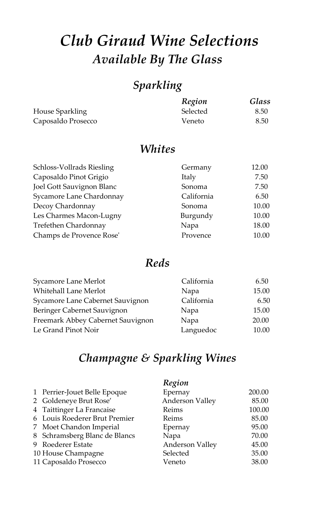# *Club Giraud Wine Selections Available By The Glass*

## *Sparkling*

|                    | Region   | Glass |
|--------------------|----------|-------|
| House Sparkling    | Selected | 8.50  |
| Caposaldo Prosecco | Veneto   | 8.50  |

#### *Whites*

| Schloss-Vollrads Riesling | Germany    | 12.00 |
|---------------------------|------------|-------|
| Caposaldo Pinot Grigio    | Italy      | 7.50  |
| Joel Gott Sauvignon Blanc | Sonoma     | 7.50  |
| Sycamore Lane Chardonnay  | California | 6.50  |
| Decoy Chardonnay          | Sonoma     | 10.00 |
| Les Charmes Macon-Lugny   | Burgundy   | 10.00 |
| Trefethen Chardonnay      | Napa       | 18.00 |
| Champs de Provence Rose'  | Provence   | 10.00 |
|                           |            |       |

### *Reds*

| California | 6.50  |
|------------|-------|
| Napa       | 15.00 |
| California | 6.50  |
| Napa       | 15.00 |
| Napa       | 20.00 |
| Languedoc  | 10.00 |
|            |       |

### *Champagne & Sparkling Wines*

|                               | Region                 |        |
|-------------------------------|------------------------|--------|
| 1 Perrier-Jouet Belle Epoque  | Epernay                | 200.00 |
| 2 Goldeneye Brut Rose'        | <b>Anderson Valley</b> | 85.00  |
| 4 Taittinger La Francaise     | Reims                  | 100.00 |
| 6 Louis Roederer Brut Premier | Reims                  | 85.00  |
| 7 Moet Chandon Imperial       | Epernay                | 95.00  |
| 8 Schramsberg Blanc de Blancs | Napa                   | 70.00  |
| 9 Roederer Estate             | <b>Anderson Valley</b> | 45.00  |
| 10 House Champagne            | Selected               | 35.00  |
| 11 Caposaldo Prosecco         | Veneto                 | 38.00  |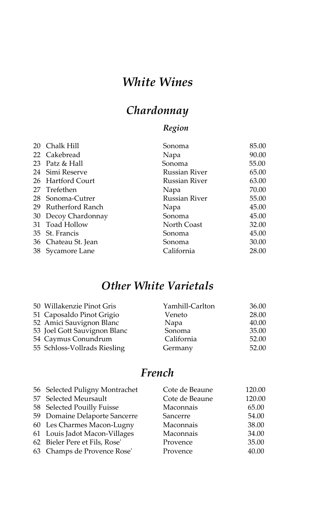## *White Wines*

## *Chardonnay*

### *Region*

|    | 20 Chalk Hill       | Sonoma               | 85.00 |
|----|---------------------|----------------------|-------|
|    | 22 Cakebread        | Napa                 | 90.00 |
|    | 23 Patz & Hall      | Sonoma               | 55.00 |
|    | 24 Simi Reserve     | Russian River        | 65.00 |
|    | 26 Hartford Court   | Russian River        | 63.00 |
|    | 27 Trefethen        | Napa                 | 70.00 |
|    | 28 Sonoma-Cutrer    | <b>Russian River</b> | 55.00 |
| 29 | Rutherford Ranch    | Napa                 | 45.00 |
|    | 30 Decoy Chardonnay | Sonoma               | 45.00 |
|    | 31 Toad Hollow      | North Coast          | 32.00 |
|    | 35 St. Francis      | Sonoma               | 45.00 |
|    | 36 Chateau St. Jean | Sonoma               | 30.00 |
|    | 38 Sycamore Lane    | California           | 28.00 |

### *Other White Varietals*

| 50 Willakenzie Pinot Gris    | Yamhill-Carlton | 36.00 |
|------------------------------|-----------------|-------|
| 51 Caposaldo Pinot Grigio    | Veneto          | 28.00 |
| 52 Amici Sauvignon Blanc     | Napa            | 40.00 |
| 53 Joel Gott Sauvignon Blanc | Sonoma          | 35.00 |
| 54 Caymus Conundrum          | California      | 52.00 |
| 55 Schloss-Vollrads Riesling | Germany         | 52.00 |

### *French*

| 56 Selected Puligny Montrachet | Cote de Beaune | 120.00 |
|--------------------------------|----------------|--------|
| 57 Selected Meursault          | Cote de Beaune | 120.00 |
| 58 Selected Pouilly Fuisse     | Maconnais      | 65.00  |
| 59 Domaine Delaporte Sancerre  | Sancerre       | 54.00  |
| 60 Les Charmes Macon-Lugny     | Maconnais      | 38.00  |
| 61 Louis Jadot Macon-Villages  | Maconnais      | 34.00  |
| 62 Bieler Pere et Fils, Rose'  | Provence       | 35.00  |
| 63 Champs de Provence Rose'    | Provence       | 40.00  |